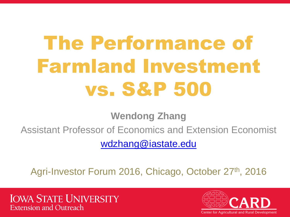# The Performance of Farmland Investment vs. S&P 500

**Wendong Zhang**

Assistant Professor of Economics and Extension Economist

[wdzhang@iastate.edu](mailto:wdzhang@iastate.edu)

Agri-Investor Forum 2016, Chicago, October 27th, 2016

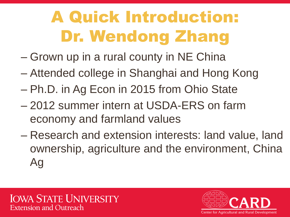## A Quick Introduction: Dr. Wendong Zhang

- Grown up in a rural county in NE China
- Attended college in Shanghai and Hong Kong
- Ph.D. in Ag Econ in 2015 from Ohio State
- 2012 summer intern at USDA-ERS on farm economy and farmland values
- Research and extension interests: land value, land ownership, agriculture and the environment, China Ag

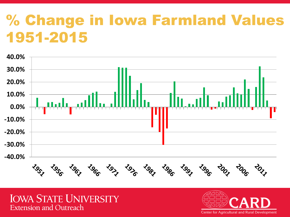### % Change in Iowa Farmland Values 1951-2015



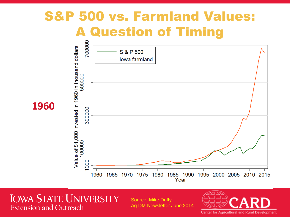### S&P 500 vs. Farmland Values: A Question of Timing



**IOWA STATE UNIVERSITY Extension and Outreach** 

Source: Mike Duffy Ag DM Newsletter June 2014

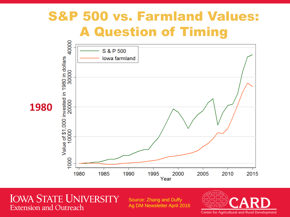### S&P 500 vs. Farmland Values: A Question of Timing



**IOWA STATE UNIVERSITY Extension and Outreach** 

Source: Zhang and Duffy Ag DM Newsletter April 2016

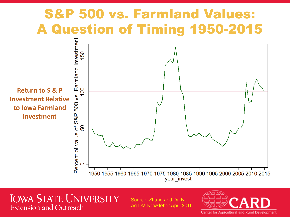### S&P 500 vs. Farmland Values: A Question of Timing 1950-2015



**IOWA STATE UNIVERSITY Extension and Outreach** 

Source: Zhang and Duffy Ag DM Newsletter April 2016

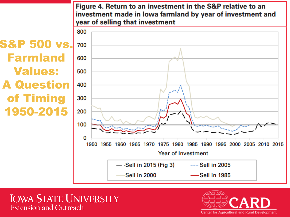Figure 4. Return to an investment in the S&P relative to an investment made in lowa farmland by year of investment and year of selling that investment



**S&P 500 vs.** 700 Farmland Values: A Question of Timing 1950-2015

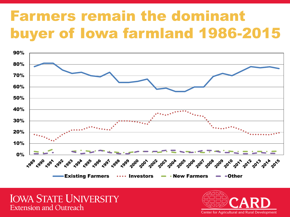### Farmers remain the dominant buyer of Iowa farmland 1986-2015



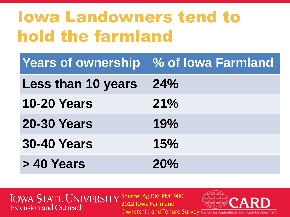## Iowa Landowners tend to hold the farmland

| <b>Years of ownership</b> | <b>% of lowa Farmland</b> |
|---------------------------|---------------------------|
| <b>Less than 10 years</b> | 24%                       |
| <b>10-20 Years</b>        | 21%                       |
| <b>20-30 Years</b>        | 19%                       |
| <b>30-40 Years</b>        | 15%                       |
| > 40 Years                | 20%                       |

IOWA STATE UNIVERSITY SOURCE: Ag DM PM1980 2012 Iowa Farmland **Extension and Outreach** 

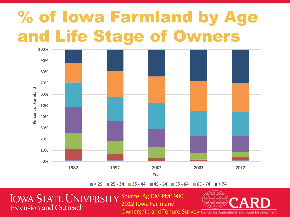## % of Iowa Farmland by Age and Life Stage of Owners



**< 25 25 - 34 35 - 44 45 - 54 55 - 64 65 - 74 > 74**

IOWA STATE UNIVERSITY SOURCE: Ag DM PM1980 **Extension and Outreach** 

2012 Iowa Farmland



Ownership and Tenure Survey Center for Agricultural and Rural Development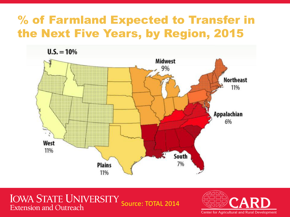#### % of Farmland Expected to Transfer in the Next Five Years, by Region, 2015



**IOWA STATE UNIVERSITY** Source: TOTAL 2014**Extension and Outreach**